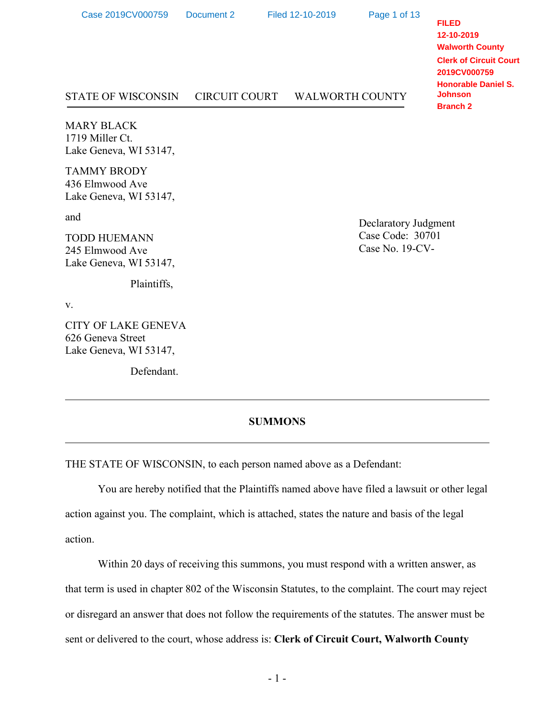| Case 2019CV000759                                              | Document 2           | Filed 12-10-2019       | Page 1 of 13 | <b>FILED</b><br>12-10-2019<br><b>Walworth County</b><br><b>Clerk of Circuit Court</b><br>2019CV000759<br><b>Honorable Daniel S.</b><br><b>Johnson</b><br><b>Branch 2</b> |
|----------------------------------------------------------------|----------------------|------------------------|--------------|--------------------------------------------------------------------------------------------------------------------------------------------------------------------------|
| <b>STATE OF WISCONSIN</b>                                      | <b>CIRCUIT COURT</b> | <b>WALWORTH COUNTY</b> |              |                                                                                                                                                                          |
| <b>MARY BLACK</b><br>1719 Miller Ct.<br>Lake Geneva, WI 53147, |                      |                        |              |                                                                                                                                                                          |

TAMMY BRODY 436 Elmwood Ave Lake Geneva, WI 53147,

and

TODD HUEMANN 245 Elmwood Ave Lake Geneva, WI 53147,

Plaintiffs,

v.

CITY OF LAKE GENEVA 626 Geneva Street Lake Geneva, WI 53147,

Defendant.

Declaratory Judgment Case Code: 30701 Case No. 19-CV-

#### **SUMMONS**

THE STATE OF WISCONSIN, to each person named above as a Defendant:

You are hereby notified that the Plaintiffs named above have filed a lawsuit or other legal action against you. The complaint, which is attached, states the nature and basis of the legal action.

Within 20 days of receiving this summons, you must respond with a written answer, as that term is used in chapter 802 of the Wisconsin Statutes, to the complaint. The court may reject or disregard an answer that does not follow the requirements of the statutes. The answer must be sent or delivered to the court, whose address is: **Clerk of Circuit Court, Walworth County**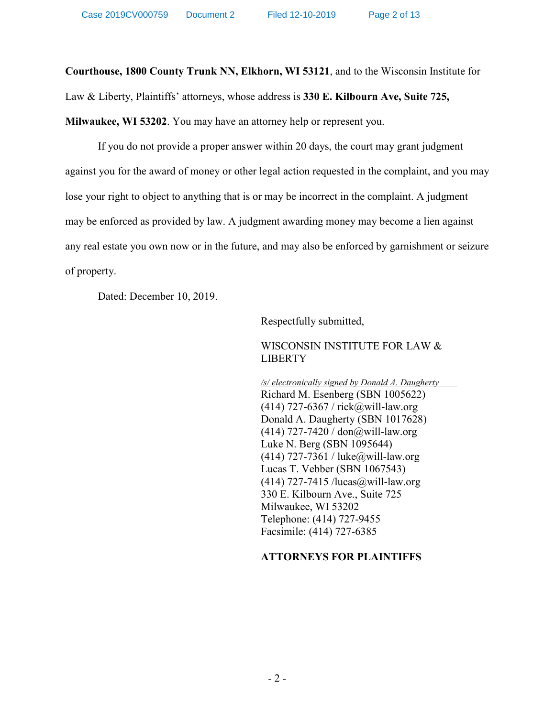**Courthouse, 1800 County Trunk NN, Elkhorn, WI 53121**, and to the Wisconsin Institute for

Law & Liberty, Plaintiffs' attorneys, whose address is **330 E. Kilbourn Ave, Suite 725,** 

**Milwaukee, WI 53202**. You may have an attorney help or represent you.

If you do not provide a proper answer within 20 days, the court may grant judgment against you for the award of money or other legal action requested in the complaint, and you may lose your right to object to anything that is or may be incorrect in the complaint. A judgment may be enforced as provided by law. A judgment awarding money may become a lien against any real estate you own now or in the future, and may also be enforced by garnishment or seizure of property.

Dated: December 10, 2019.

Respectfully submitted,

WISCONSIN INSTITUTE FOR LAW & LIBERTY

*/s/ electronically signed by Donald A. Daugherty* Richard M. Esenberg (SBN 1005622)  $(414)$  727-6367 / rick@will-law.org Donald A. Daugherty (SBN 1017628)  $(414)$  727-7420 / don@will-law.org Luke N. Berg (SBN 1095644) (414) 727-7361 / luke@will-law.org Lucas T. Vebber (SBN 1067543)  $(414)$  727-7415 /lucas@will-law.org 330 E. Kilbourn Ave., Suite 725 Milwaukee, WI 53202 Telephone: (414) 727-9455 Facsimile: (414) 727-6385

# **ATTORNEYS FOR PLAINTIFFS**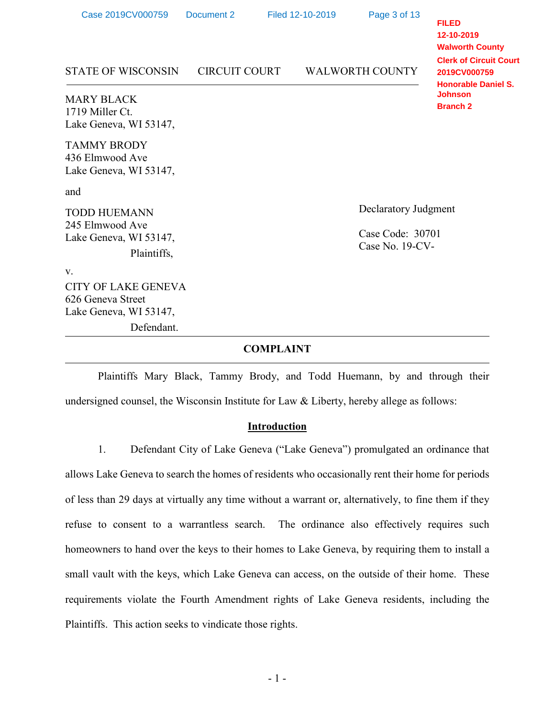| Case 2019CV000759                                                         | Document 2           | Filed 12-10-2019     |                                     | Page 3 of 13           | <b>FILED</b><br>12-10-2019<br><b>Walworth County</b>                        |  |
|---------------------------------------------------------------------------|----------------------|----------------------|-------------------------------------|------------------------|-----------------------------------------------------------------------------|--|
| <b>STATE OF WISCONSIN</b>                                                 | <b>CIRCUIT COURT</b> |                      |                                     | <b>WALWORTH COUNTY</b> | <b>Clerk of Circuit Court</b><br>2019CV000759<br><b>Honorable Daniel S.</b> |  |
| <b>MARY BLACK</b><br>1719 Miller Ct.<br>Lake Geneva, WI 53147,            |                      |                      |                                     |                        | <b>Johnson</b><br><b>Branch 2</b>                                           |  |
| <b>TAMMY BRODY</b><br>436 Elmwood Ave<br>Lake Geneva, WI 53147,           |                      |                      |                                     |                        |                                                                             |  |
| and                                                                       |                      |                      |                                     |                        |                                                                             |  |
| <b>TODD HUEMANN</b>                                                       |                      | Declaratory Judgment |                                     |                        |                                                                             |  |
| 245 Elmwood Ave<br>Lake Geneva, WI 53147,<br>Plaintiffs,                  |                      |                      | Case Code: 30701<br>Case No. 19-CV- |                        |                                                                             |  |
| V.                                                                        |                      |                      |                                     |                        |                                                                             |  |
| <b>CITY OF LAKE GENEVA</b><br>626 Geneva Street<br>Lake Geneva, WI 53147, |                      |                      |                                     |                        |                                                                             |  |
| Defendant.                                                                |                      |                      |                                     |                        |                                                                             |  |
|                                                                           |                      | <b>COMPLAINT</b>     |                                     |                        |                                                                             |  |

Plaintiffs Mary Black, Tammy Brody, and Todd Huemann, by and through their undersigned counsel, the Wisconsin Institute for Law & Liberty, hereby allege as follows:

### **Introduction**

1. Defendant City of Lake Geneva ("Lake Geneva") promulgated an ordinance that allows Lake Geneva to search the homes of residents who occasionally rent their home for periods of less than 29 days at virtually any time without a warrant or, alternatively, to fine them if they refuse to consent to a warrantless search. The ordinance also effectively requires such homeowners to hand over the keys to their homes to Lake Geneva, by requiring them to install a small vault with the keys, which Lake Geneva can access, on the outside of their home. These requirements violate the Fourth Amendment rights of Lake Geneva residents, including the Plaintiffs. This action seeks to vindicate those rights.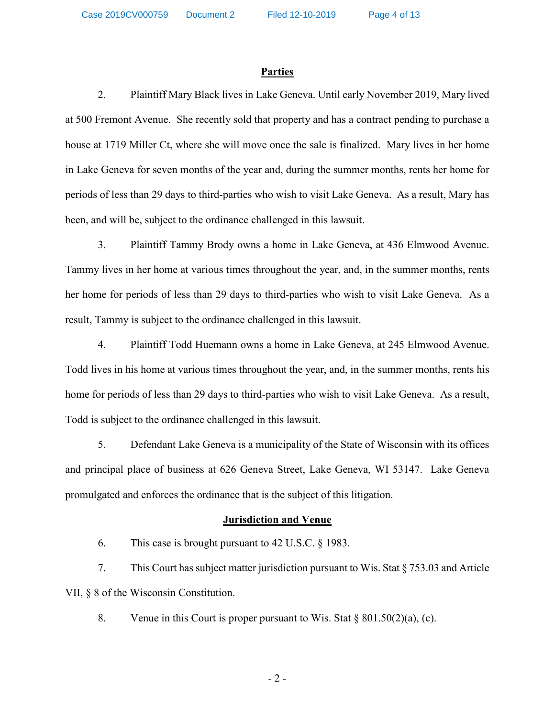Case 2019CV000759 Document 2 Filed 12-10-2019

Page 4 of 13

#### **Parties**

2. Plaintiff Mary Black lives in Lake Geneva. Until early November 2019, Mary lived at 500 Fremont Avenue. She recently sold that property and has a contract pending to purchase a house at 1719 Miller Ct, where she will move once the sale is finalized. Mary lives in her home in Lake Geneva for seven months of the year and, during the summer months, rents her home for periods of less than 29 days to third-parties who wish to visit Lake Geneva. As a result, Mary has been, and will be, subject to the ordinance challenged in this lawsuit.

3. Plaintiff Tammy Brody owns a home in Lake Geneva, at 436 Elmwood Avenue. Tammy lives in her home at various times throughout the year, and, in the summer months, rents her home for periods of less than 29 days to third-parties who wish to visit Lake Geneva. As a result, Tammy is subject to the ordinance challenged in this lawsuit.

4. Plaintiff Todd Huemann owns a home in Lake Geneva, at 245 Elmwood Avenue. Todd lives in his home at various times throughout the year, and, in the summer months, rents his home for periods of less than 29 days to third-parties who wish to visit Lake Geneva. As a result, Todd is subject to the ordinance challenged in this lawsuit.

5. Defendant Lake Geneva is a municipality of the State of Wisconsin with its offices and principal place of business at 626 Geneva Street, Lake Geneva, WI 53147. Lake Geneva promulgated and enforces the ordinance that is the subject of this litigation.

### **Jurisdiction and Venue**

6. This case is brought pursuant to 42 U.S.C. § 1983.

7. This Court has subject matter jurisdiction pursuant to Wis. Stat § 753.03 and Article VII, § 8 of the Wisconsin Constitution.

8. Venue in this Court is proper pursuant to Wis. Stat  $\S 801.50(2)(a)$ , (c).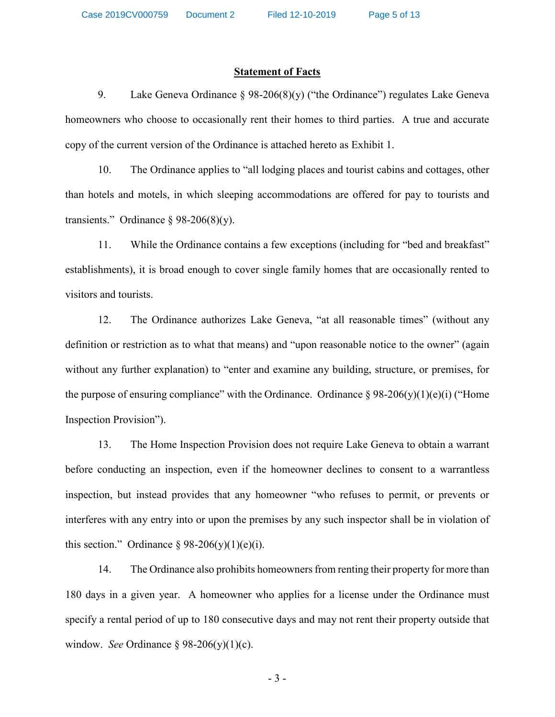#### **Statement of Facts**

9. Lake Geneva Ordinance  $\S 98-206(8)(y)$  ("the Ordinance") regulates Lake Geneva homeowners who choose to occasionally rent their homes to third parties. A true and accurate copy of the current version of the Ordinance is attached hereto as Exhibit 1.

10. The Ordinance applies to "all lodging places and tourist cabins and cottages, other than hotels and motels, in which sleeping accommodations are offered for pay to tourists and transients." Ordinance § 98-206(8)(y).

11. While the Ordinance contains a few exceptions (including for "bed and breakfast" establishments), it is broad enough to cover single family homes that are occasionally rented to visitors and tourists.

12. The Ordinance authorizes Lake Geneva, "at all reasonable times" (without any definition or restriction as to what that means) and "upon reasonable notice to the owner" (again without any further explanation) to "enter and examine any building, structure, or premises, for the purpose of ensuring compliance" with the Ordinance. Ordinance  $\S 98-206(y)(1)(e)(i)$  ("Home Inspection Provision").

13. The Home Inspection Provision does not require Lake Geneva to obtain a warrant before conducting an inspection, even if the homeowner declines to consent to a warrantless inspection, but instead provides that any homeowner "who refuses to permit, or prevents or interferes with any entry into or upon the premises by any such inspector shall be in violation of this section." Ordinance  $\S 98-206(y)(1)(e)(i)$ .

14. The Ordinance also prohibits homeowners from renting their property for more than 180 days in a given year. A homeowner who applies for a license under the Ordinance must specify a rental period of up to 180 consecutive days and may not rent their property outside that window. *See* Ordinance § 98-206(y)(1)(c).

- 3 -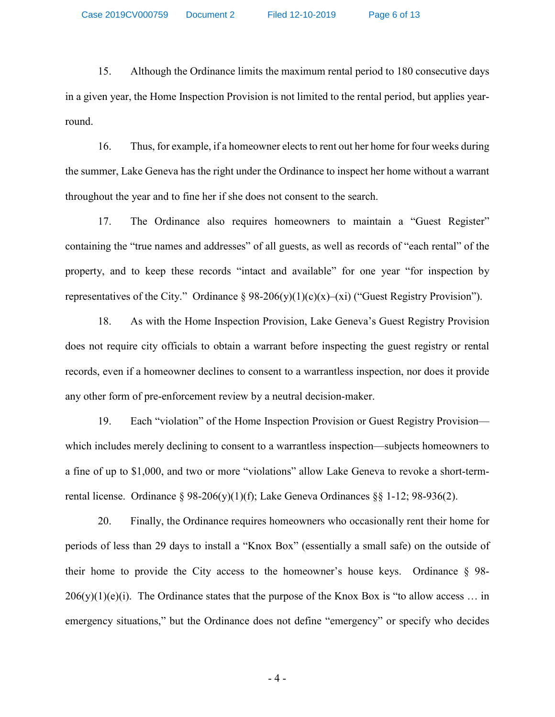Case 2019CV000759 Document 2 Filed 12-10-2019 Page 6 of 13

15. Although the Ordinance limits the maximum rental period to 180 consecutive days in a given year, the Home Inspection Provision is not limited to the rental period, but applies yearround.

16. Thus, for example, if a homeowner elects to rent out her home for four weeks during the summer, Lake Geneva has the right under the Ordinance to inspect her home without a warrant throughout the year and to fine her if she does not consent to the search.

17. The Ordinance also requires homeowners to maintain a "Guest Register" containing the "true names and addresses" of all guests, as well as records of "each rental" of the property, and to keep these records "intact and available" for one year "for inspection by representatives of the City." Ordinance  $\S 98-206(y)(1)(c)(x)-(xi)$  ("Guest Registry Provision").

18. As with the Home Inspection Provision, Lake Geneva's Guest Registry Provision does not require city officials to obtain a warrant before inspecting the guest registry or rental records, even if a homeowner declines to consent to a warrantless inspection, nor does it provide any other form of pre-enforcement review by a neutral decision-maker.

19. Each "violation" of the Home Inspection Provision or Guest Registry Provision which includes merely declining to consent to a warrantless inspection—subjects homeowners to a fine of up to \$1,000, and two or more "violations" allow Lake Geneva to revoke a short-termrental license. Ordinance § 98-206(y)(1)(f); Lake Geneva Ordinances §§ 1-12; 98-936(2).

20. Finally, the Ordinance requires homeowners who occasionally rent their home for periods of less than 29 days to install a "Knox Box" (essentially a small safe) on the outside of their home to provide the City access to the homeowner's house keys. Ordinance § 98-  $206(y)(1)(e)(i)$ . The Ordinance states that the purpose of the Knox Box is "to allow access ... in emergency situations," but the Ordinance does not define "emergency" or specify who decides

- 4 -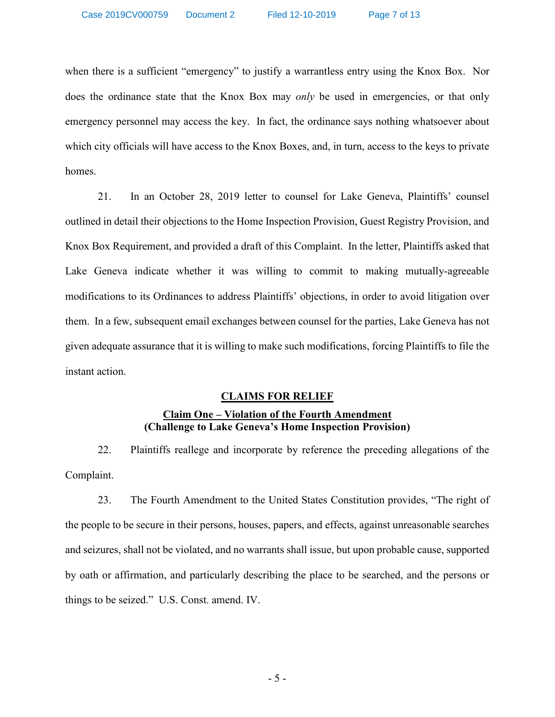when there is a sufficient "emergency" to justify a warrantless entry using the Knox Box. Nor does the ordinance state that the Knox Box may *only* be used in emergencies, or that only emergency personnel may access the key. In fact, the ordinance says nothing whatsoever about which city officials will have access to the Knox Boxes, and, in turn, access to the keys to private homes.

21. In an October 28, 2019 letter to counsel for Lake Geneva, Plaintiffs' counsel outlined in detail their objections to the Home Inspection Provision, Guest Registry Provision, and Knox Box Requirement, and provided a draft of this Complaint. In the letter, Plaintiffs asked that Lake Geneva indicate whether it was willing to commit to making mutually-agreeable modifications to its Ordinances to address Plaintiffs' objections, in order to avoid litigation over them. In a few, subsequent email exchanges between counsel for the parties, Lake Geneva has not given adequate assurance that it is willing to make such modifications, forcing Plaintiffs to file the instant action.

### **CLAIMS FOR RELIEF**

## **Claim One – Violation of the Fourth Amendment (Challenge to Lake Geneva's Home Inspection Provision)**

22. Plaintiffs reallege and incorporate by reference the preceding allegations of the Complaint.

23. The Fourth Amendment to the United States Constitution provides, "The right of the people to be secure in their persons, houses, papers, and effects, against unreasonable searches and seizures, shall not be violated, and no warrants shall issue, but upon probable cause, supported by oath or affirmation, and particularly describing the place to be searched, and the persons or things to be seized." U.S. Const. amend. IV.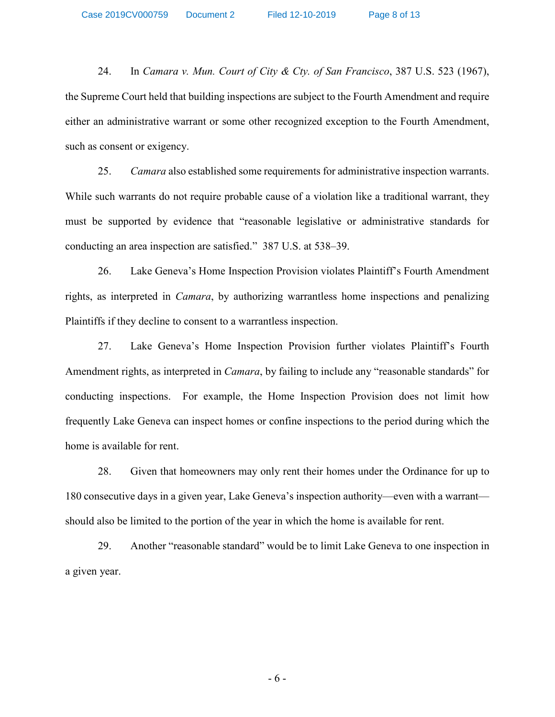24. In *Camara v. Mun. Court of City & Cty. of San Francisco*, 387 U.S. 523 (1967), the Supreme Court held that building inspections are subject to the Fourth Amendment and require either an administrative warrant or some other recognized exception to the Fourth Amendment, such as consent or exigency.

25. *Camara* also established some requirements for administrative inspection warrants. While such warrants do not require probable cause of a violation like a traditional warrant, they must be supported by evidence that "reasonable legislative or administrative standards for conducting an area inspection are satisfied." 387 U.S. at 538–39.

26. Lake Geneva's Home Inspection Provision violates Plaintiff's Fourth Amendment rights, as interpreted in *Camara*, by authorizing warrantless home inspections and penalizing Plaintiffs if they decline to consent to a warrantless inspection.

27. Lake Geneva's Home Inspection Provision further violates Plaintiff's Fourth Amendment rights, as interpreted in *Camara*, by failing to include any "reasonable standards" for conducting inspections. For example, the Home Inspection Provision does not limit how frequently Lake Geneva can inspect homes or confine inspections to the period during which the home is available for rent.

28. Given that homeowners may only rent their homes under the Ordinance for up to 180 consecutive days in a given year, Lake Geneva's inspection authority—even with a warrant should also be limited to the portion of the year in which the home is available for rent.

29. Another "reasonable standard" would be to limit Lake Geneva to one inspection in a given year.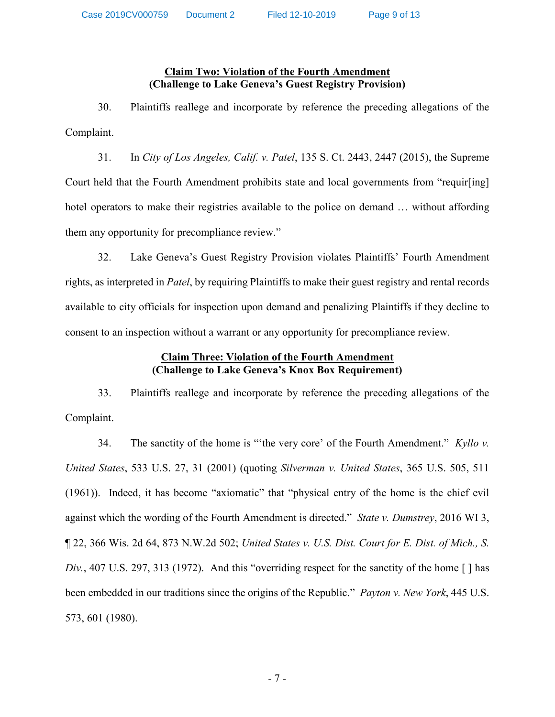## **Claim Two: Violation of the Fourth Amendment (Challenge to Lake Geneva's Guest Registry Provision)**

30. Plaintiffs reallege and incorporate by reference the preceding allegations of the Complaint.

31. In *City of Los Angeles, Calif. v. Patel*, 135 S. Ct. 2443, 2447 (2015), the Supreme Court held that the Fourth Amendment prohibits state and local governments from "requir[ing] hotel operators to make their registries available to the police on demand ... without affording them any opportunity for precompliance review."

32. Lake Geneva's Guest Registry Provision violates Plaintiffs' Fourth Amendment rights, as interpreted in *Patel*, by requiring Plaintiffs to make their guest registry and rental records available to city officials for inspection upon demand and penalizing Plaintiffs if they decline to consent to an inspection without a warrant or any opportunity for precompliance review.

# **Claim Three: Violation of the Fourth Amendment (Challenge to Lake Geneva's Knox Box Requirement)**

33. Plaintiffs reallege and incorporate by reference the preceding allegations of the Complaint.

34. The sanctity of the home is "'the very core' of the Fourth Amendment." *Kyllo v. United States*, 533 U.S. 27, 31 (2001) (quoting *Silverman v. United States*, 365 U.S. 505, 511 (1961)). Indeed, it has become "axiomatic" that "physical entry of the home is the chief evil against which the wording of the Fourth Amendment is directed." *State v. Dumstrey*, 2016 WI 3, ¶ 22, 366 Wis. 2d 64, 873 N.W.2d 502; *United States v. U.S. Dist. Court for E. Dist. of Mich., S. Div.*, 407 U.S. 297, 313 (1972). And this "overriding respect for the sanctity of the home [ ] has been embedded in our traditions since the origins of the Republic." *Payton v. New York*, 445 U.S. 573, 601 (1980).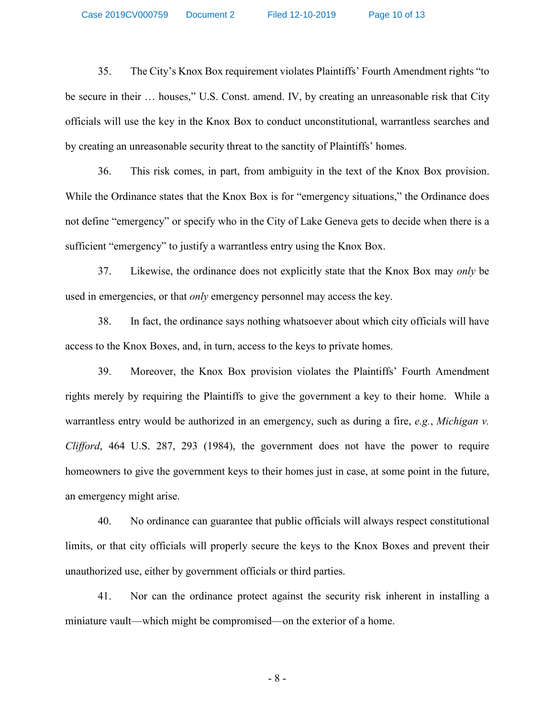35. The City's Knox Box requirement violates Plaintiffs' Fourth Amendment rights "to be secure in their … houses," U.S. Const. amend. IV, by creating an unreasonable risk that City officials will use the key in the Knox Box to conduct unconstitutional, warrantless searches and by creating an unreasonable security threat to the sanctity of Plaintiffs' homes.

36. This risk comes, in part, from ambiguity in the text of the Knox Box provision. While the Ordinance states that the Knox Box is for "emergency situations," the Ordinance does not define "emergency" or specify who in the City of Lake Geneva gets to decide when there is a sufficient "emergency" to justify a warrantless entry using the Knox Box.

37. Likewise, the ordinance does not explicitly state that the Knox Box may *only* be used in emergencies, or that *only* emergency personnel may access the key.

38. In fact, the ordinance says nothing whatsoever about which city officials will have access to the Knox Boxes, and, in turn, access to the keys to private homes.

39. Moreover, the Knox Box provision violates the Plaintiffs' Fourth Amendment rights merely by requiring the Plaintiffs to give the government a key to their home. While a warrantless entry would be authorized in an emergency, such as during a fire, *e.g.*, *Michigan v. Clifford*, 464 U.S. 287, 293 (1984), the government does not have the power to require homeowners to give the government keys to their homes just in case, at some point in the future, an emergency might arise.

40. No ordinance can guarantee that public officials will always respect constitutional limits, or that city officials will properly secure the keys to the Knox Boxes and prevent their unauthorized use, either by government officials or third parties.

41. Nor can the ordinance protect against the security risk inherent in installing a miniature vault—which might be compromised—on the exterior of a home.

- 8 -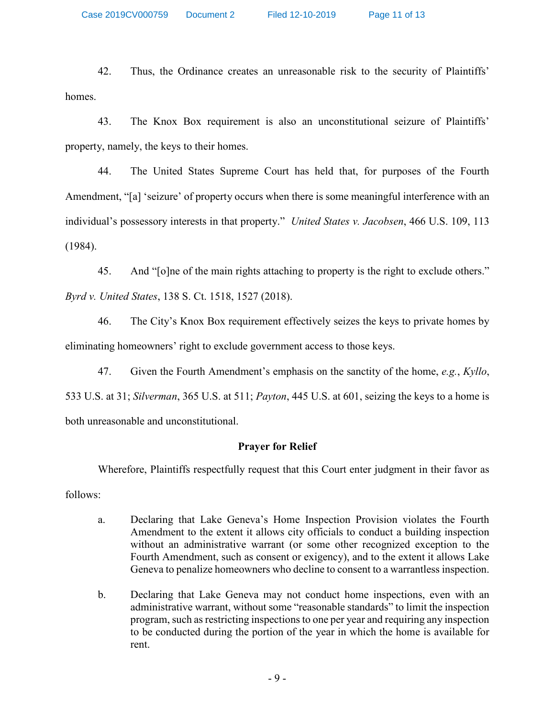Case 2019CV000759 Document 2 Filed 12-10-2019 Page 11 of 13

42. Thus, the Ordinance creates an unreasonable risk to the security of Plaintiffs' homes.

43. The Knox Box requirement is also an unconstitutional seizure of Plaintiffs' property, namely, the keys to their homes.

44. The United States Supreme Court has held that, for purposes of the Fourth Amendment, "[a] 'seizure' of property occurs when there is some meaningful interference with an individual's possessory interests in that property." *United States v. Jacobsen*, 466 U.S. 109, 113 (1984).

45. And "[o]ne of the main rights attaching to property is the right to exclude others." *Byrd v. United States*, 138 S. Ct. 1518, 1527 (2018).

46. The City's Knox Box requirement effectively seizes the keys to private homes by eliminating homeowners' right to exclude government access to those keys.

47. Given the Fourth Amendment's emphasis on the sanctity of the home, *e.g.*, *Kyllo*, 533 U.S. at 31; *Silverman*, 365 U.S. at 511; *Payton*, 445 U.S. at 601, seizing the keys to a home is both unreasonable and unconstitutional.

# **Prayer for Relief**

Wherefore, Plaintiffs respectfully request that this Court enter judgment in their favor as

follows:

- a. Declaring that Lake Geneva's Home Inspection Provision violates the Fourth Amendment to the extent it allows city officials to conduct a building inspection without an administrative warrant (or some other recognized exception to the Fourth Amendment, such as consent or exigency), and to the extent it allows Lake Geneva to penalize homeowners who decline to consent to a warrantless inspection.
- b. Declaring that Lake Geneva may not conduct home inspections, even with an administrative warrant, without some "reasonable standards" to limit the inspection program, such as restricting inspections to one per year and requiring any inspection to be conducted during the portion of the year in which the home is available for rent.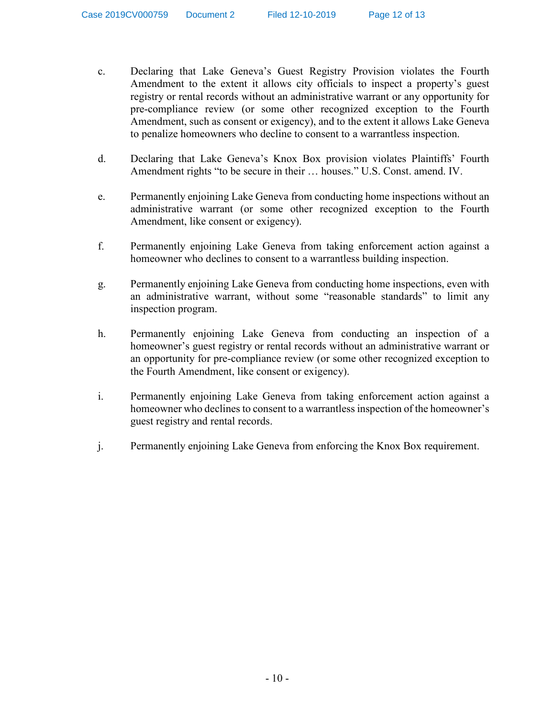- c. Declaring that Lake Geneva's Guest Registry Provision violates the Fourth Amendment to the extent it allows city officials to inspect a property's guest registry or rental records without an administrative warrant or any opportunity for pre-compliance review (or some other recognized exception to the Fourth Amendment, such as consent or exigency), and to the extent it allows Lake Geneva to penalize homeowners who decline to consent to a warrantless inspection.
- d. Declaring that Lake Geneva's Knox Box provision violates Plaintiffs' Fourth Amendment rights "to be secure in their … houses." U.S. Const. amend. IV.
- e. Permanently enjoining Lake Geneva from conducting home inspections without an administrative warrant (or some other recognized exception to the Fourth Amendment, like consent or exigency).
- f. Permanently enjoining Lake Geneva from taking enforcement action against a homeowner who declines to consent to a warrantless building inspection.
- g. Permanently enjoining Lake Geneva from conducting home inspections, even with an administrative warrant, without some "reasonable standards" to limit any inspection program.
- h. Permanently enjoining Lake Geneva from conducting an inspection of a homeowner's guest registry or rental records without an administrative warrant or an opportunity for pre-compliance review (or some other recognized exception to the Fourth Amendment, like consent or exigency).
- i. Permanently enjoining Lake Geneva from taking enforcement action against a homeowner who declines to consent to a warrantless inspection of the homeowner's guest registry and rental records.
- j. Permanently enjoining Lake Geneva from enforcing the Knox Box requirement.